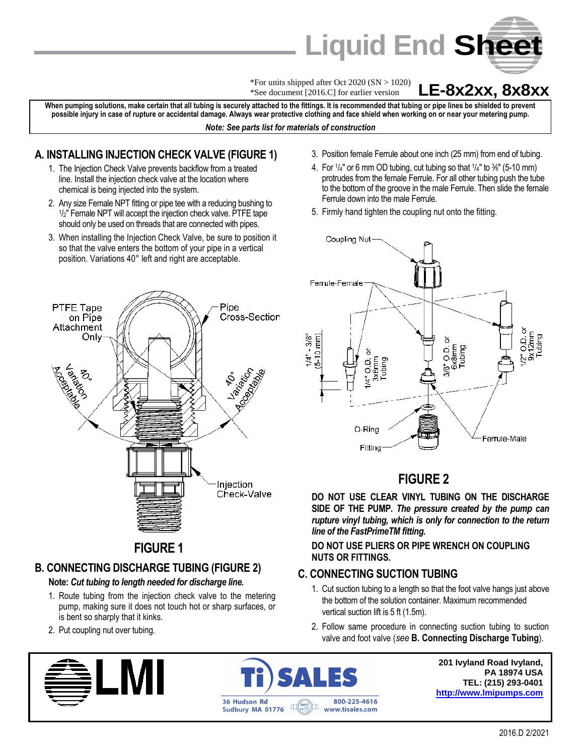

\*For units shipped after Oct 2020 (SN > 1020) \*See document [2016.C] for earlier version

## **LE-8x2xx, 8x8xx**

**When pumping solutions, make certain that all tubing is securely attached to the fittings. It is recommended that tubing or pipe lines be shielded to prevent possible injury in case of rupture or accidental damage. Always wear protective clothing and face shield when working on or near your metering pump.** *Note: See parts list for materials of construction*

#### **A. INSTALLING INJECTION CHECK VALVE (FIGURE 1)**

- 1. The Injection Check Valve prevents backflow from a treated line. Install the injection check valve at the location where chemical is being injected into the system.
- 2. Any size Female NPT fitting or pipe tee with a reducing bushing to 1 /2" Female NPT will accept the injection check valve. PTFE tape should only be used on threads that are connected with pipes.
- 3. When installing the Injection Check Valve, be sure to position it so that the valve enters the bottom of your pipe in a vertical position. Variations 40° left and right are acceptable.
- 3. Position female Ferrule about one inch (25 mm) from end of tubing. 4. For  $1/4"$  or 6 mm OD tubing, cut tubing so that  $1/4"$  to  $%$ " (5-10 mm)
- protrudes from the female Ferrule. For all other tubing push the tube to the bottom of the groove in the male Ferrule. Then slide the female Ferrule down into the male Ferrule.
- 5. Firmly hand tighten the coupling nut onto the fitting.



# **FIGURE 2**

**DO NOT USE CLEAR VINYL TUBING ON THE DISCHARGE SIDE OF THE PUMP.** *The pressure created by the pump can rupture vinyl tubing, which is only for connection to the return line of the FastPrimeTM fitting.*

**DO NOT USE PLIERS OR PIPE WRENCH ON COUPLING NUTS OR FITTINGS.**

## **C. CONNECTING SUCTION TUBING**

- 1. Cut suction tubing to a length so that the foot valve hangs just above the bottom of the solution container. Maximum recommended vertical suction lift is 5 ft (1.5m).
- 2. Follow same procedure in connecting suction tubing to suction valve and foot valve (*see* **B. Connecting Discharge Tubing**).



**201 Ivyland Road Ivyland, PA 18974 USA TEL: (215) 293-0401 [http://www.lmipumps.com](http://www.lmipumps.com/)**



Pipe

# **FIGURE 1**

# **B. CONNECTING DISCHARGE TUBING (FIGURE 2)**

#### **Note:** *Cut tubing to length needed for discharge line.*

- 1. Route tubing from the injection check valve to the metering pump, making sure it does not touch hot or sharp surfaces, or is bent so sharply that it kinks.
- 2. Put coupling nut over tubing.

PTFE Tape

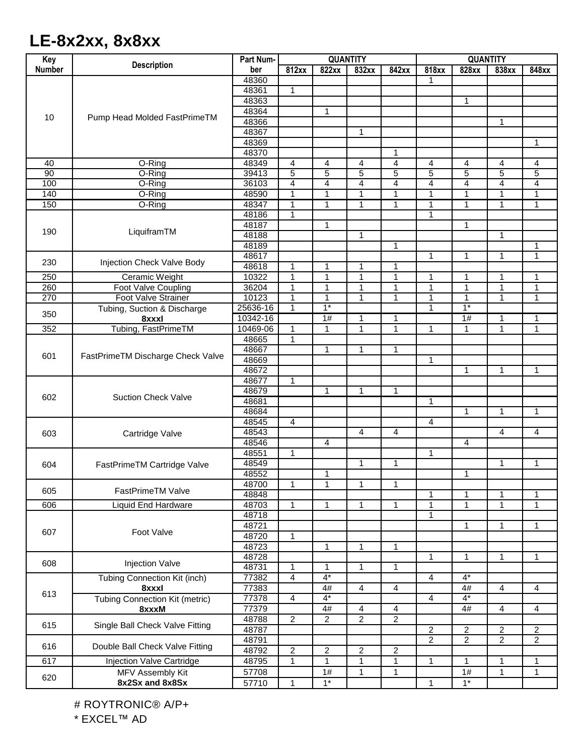# **LE-8x2xx, 8x8xx**

| Key              | <b>Description</b>                                                                         | Part Num- | <b>QUANTITY</b> |                      |                                  |                | <b>QUANTITY</b>                |                  |                |                |
|------------------|--------------------------------------------------------------------------------------------|-----------|-----------------|----------------------|----------------------------------|----------------|--------------------------------|------------------|----------------|----------------|
| <b>Number</b>    |                                                                                            | ber       | 812xx           | 822xx                | 832xx                            | 842xx          | 818xx                          | 828xx            | 838xx          | 848xx          |
| 10               | Pump Head Molded FastPrimeTM                                                               | 48360     |                 |                      |                                  |                | 1                              |                  |                |                |
|                  |                                                                                            | 48361     | 1               |                      |                                  |                |                                |                  |                |                |
|                  |                                                                                            | 48363     |                 |                      |                                  |                |                                | 1                |                |                |
|                  |                                                                                            | 48364     |                 | 1                    |                                  |                |                                |                  |                |                |
|                  |                                                                                            | 48366     |                 |                      |                                  |                |                                |                  | 1              |                |
|                  |                                                                                            | 48367     |                 |                      | 1                                |                |                                |                  |                |                |
|                  |                                                                                            | 48369     |                 |                      |                                  |                |                                |                  |                | 1              |
|                  |                                                                                            | 48370     |                 |                      |                                  | 1              |                                |                  |                |                |
| 40               | O-Ring                                                                                     | 48349     | 4               | 4                    | 4                                | 4              | 4                              | 4                | 4              | 4              |
| 90               | O-Ring                                                                                     | 39413     | $\overline{5}$  | $\overline{5}$       | $\overline{5}$                   | $\overline{5}$ | $\overline{5}$                 | $\overline{5}$   | $\overline{5}$ | $\overline{5}$ |
| 100              | O-Ring                                                                                     | 36103     | 4               | $\overline{4}$       | 4                                | 4              | $\overline{4}$                 | 4                | 4              | 4              |
| 140              | O-Ring                                                                                     | 48590     | 1               | 1                    | 1                                | 1              | 1                              | 1                | $\mathbf 1$    | 1              |
| 150              | O-Ring                                                                                     | 48347     | 1               | 1                    | 1                                | 1              | 1                              | 1                | $\mathbf 1$    | 1              |
|                  |                                                                                            | 48186     | 1               |                      |                                  |                | $\mathbf{1}$                   |                  |                |                |
| 190              | LiquiframTM                                                                                | 48187     |                 | $\mathbf{1}$         |                                  |                |                                | $\mathbf{1}$     |                |                |
|                  |                                                                                            | 48188     |                 |                      | 1                                |                |                                |                  | 1              |                |
|                  |                                                                                            | 48189     |                 |                      |                                  | 1              |                                |                  |                | 1              |
| 230              | Injection Check Valve Body                                                                 | 48617     |                 |                      |                                  |                | 1                              | 1                | 1              | $\mathbf{1}$   |
|                  |                                                                                            | 48618     | 1               | 1                    | 1                                | 1              |                                |                  |                |                |
| 250              | Ceramic Weight                                                                             | 10322     | $\mathbf{1}$    | $\mathbf{1}$         | 1                                | 1              | 1                              | 1                | 1              | 1              |
| 260              | Foot Valve Coupling                                                                        | 36204     | $\mathbf 1$     | $\mathbf{1}$         | $\mathbf{1}$                     | 1              | $\mathbf{1}$                   | 1                | $\overline{1}$ | 1              |
| 270              | <b>Foot Valve Strainer</b>                                                                 | 10123     | 1               | $\mathbf{1}$         | 1                                | 1              | $\mathbf{1}$                   | 1                | $\mathbf 1$    | 1              |
| 350              | Tubing, Suction & Discharge                                                                | 25636-16  | $\mathbf{1}$    | $1*$                 |                                  |                | $\mathbf{1}$                   | $1*$             |                |                |
|                  | 8xxxl                                                                                      | 10342-16  |                 | $\overline{1\#}$     | 1                                | 1              |                                | $\overline{1\#}$ | 1              | 1              |
| $\overline{352}$ | Tubing, FastPrimeTM                                                                        | 10469-06  | 1               | 1                    | $\mathbf{1}$                     | 1              | $\mathbf 1$                    | 1                | 1              | $\mathbf 1$    |
|                  | FastPrimeTM Discharge Check Valve                                                          | 48665     | $\mathbf{1}$    |                      |                                  |                |                                |                  |                |                |
| 601              |                                                                                            | 48667     |                 | 1                    | 1                                | 1              |                                |                  |                |                |
|                  |                                                                                            | 48669     |                 |                      |                                  |                | 1                              |                  |                |                |
|                  |                                                                                            | 48672     |                 |                      |                                  |                |                                | $\mathbf{1}$     | -1             | $\mathbf{1}$   |
| 602              | <b>Suction Check Valve</b>                                                                 | 48677     | 1               |                      |                                  |                |                                |                  |                |                |
|                  |                                                                                            | 48679     |                 | $\mathbf{1}$         | 1                                | 1              |                                |                  |                |                |
|                  |                                                                                            | 48681     |                 |                      |                                  |                | $\mathbf{1}$                   |                  |                |                |
|                  |                                                                                            | 48684     |                 |                      |                                  |                |                                | 1                | 1              | 1              |
| 603              | Cartridge Valve                                                                            | 48545     | 4               |                      |                                  |                | 4                              |                  |                |                |
|                  |                                                                                            | 48543     |                 |                      | $\overline{4}$                   | 4              |                                |                  | 4              | 4              |
|                  |                                                                                            | 48546     |                 | 4                    |                                  |                |                                | 4                |                |                |
| 604              | FastPrimeTM Cartridge Valve                                                                | 48551     | $\mathbf{1}$    |                      |                                  |                | $\mathbf{1}$                   |                  |                |                |
|                  |                                                                                            | 48549     |                 |                      | 1                                | 1              |                                |                  | 1              | 1              |
|                  |                                                                                            | 48552     |                 | 1                    |                                  |                |                                | 1                |                |                |
| 605              | FastPrimeTM Valve                                                                          | 48700     | 1               | 1                    | 1                                | 1              |                                |                  |                |                |
|                  |                                                                                            | 48848     |                 |                      |                                  |                | $\mathbf{1}$                   | 1                | 1              | 1              |
| 606              | <b>Liquid End Hardware</b>                                                                 | 48703     | $\mathbf{1}$    | $\mathbf{1}$         | 1                                | $\mathbf{1}$   | $\mathbf{1}$                   | 1                | $\mathbf{1}$   | 1              |
| 607              | Foot Valve                                                                                 | 48718     |                 |                      |                                  |                | $\mathbf{1}$                   |                  |                |                |
|                  |                                                                                            | 48721     |                 |                      |                                  |                |                                | $\mathbf{1}$     | 1              | $\mathbf{1}$   |
|                  |                                                                                            | 48720     | $\mathbf{1}$    |                      |                                  |                |                                |                  |                |                |
|                  |                                                                                            | 48723     |                 | 1                    | 1                                | 1              |                                | $\mathbf{1}$     |                |                |
| 608              | <b>Injection Valve</b>                                                                     | 48728     |                 |                      |                                  |                | $\mathbf{1}$                   |                  | $\mathbf{1}$   | $\mathbf{1}$   |
|                  |                                                                                            | 48731     | $\mathbf{1}$    | $\mathbf{1}$         | $\mathbf{1}$                     | $\mathbf{1}$   |                                |                  |                |                |
| 613<br>615       | <b>Tubing Connection Kit (inch)</b>                                                        | 77382     | 4               | $4*$                 |                                  |                | $\overline{4}$                 | $4*$             |                |                |
|                  | 8xxxl<br><b>Tubing Connection Kit (metric)</b><br>8xxxM<br>Single Ball Check Valve Fitting | 77383     |                 | 4#<br>$4*$           | $\overline{4}$                   | $\overline{4}$ |                                | 4#<br>$4^*$      | 4              | 4              |
|                  |                                                                                            | 77378     | 4               |                      |                                  |                | $\overline{4}$                 |                  |                |                |
|                  |                                                                                            | 77379     |                 | 4#<br>$\overline{2}$ | $\overline{4}$<br>$\overline{2}$ | 4              |                                | 4#               | $\overline{4}$ | 4              |
|                  |                                                                                            | 48788     | $\overline{2}$  |                      |                                  | $\overline{2}$ |                                |                  |                |                |
|                  |                                                                                            | 48787     |                 |                      |                                  |                | $\mathbf{2}$<br>$\overline{2}$ | $\overline{2}$   | $\overline{2}$ | $\overline{2}$ |
| 616              | Double Ball Check Valve Fitting                                                            | 48791     |                 |                      |                                  |                |                                | $\overline{2}$   | $\overline{2}$ | $\overline{2}$ |
|                  |                                                                                            | 48792     | $\overline{c}$  | $\overline{c}$       | $\overline{2}$                   | 2              |                                |                  |                |                |
| 617              | Injection Valve Cartridge                                                                  | 48795     | 1               | $\mathbf{1}$         | 1                                | 1              | $\mathbf{1}$                   | $\mathbf{1}$     | 1              | 1              |
| 620              | MFV Assembly Kit                                                                           | 57708     |                 | 1#                   | 1                                | 1              |                                | 1#               | 1              | 1              |
|                  | 8x2Sx and 8x8Sx                                                                            | 57710     | $\mathbf{1}$    | $1*$                 |                                  |                | $\mathbf{1}$                   | $1*$             |                |                |

# ROYTRONIC® A/P+

\* EXCEL™ AD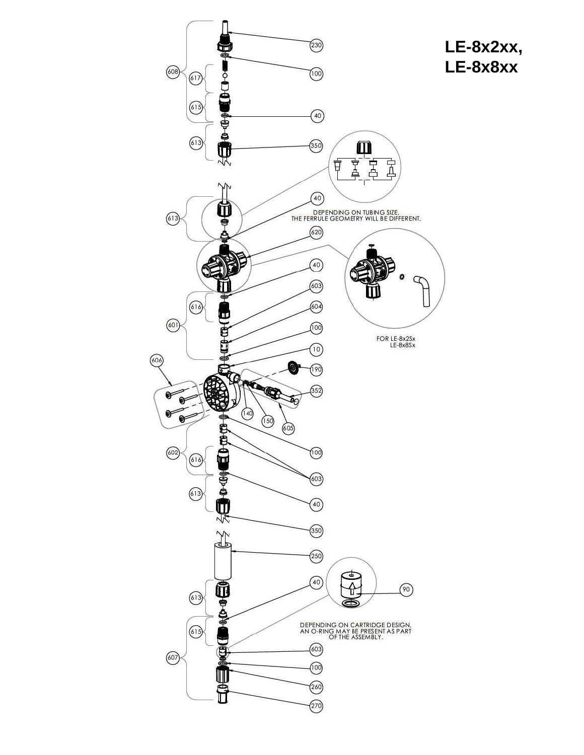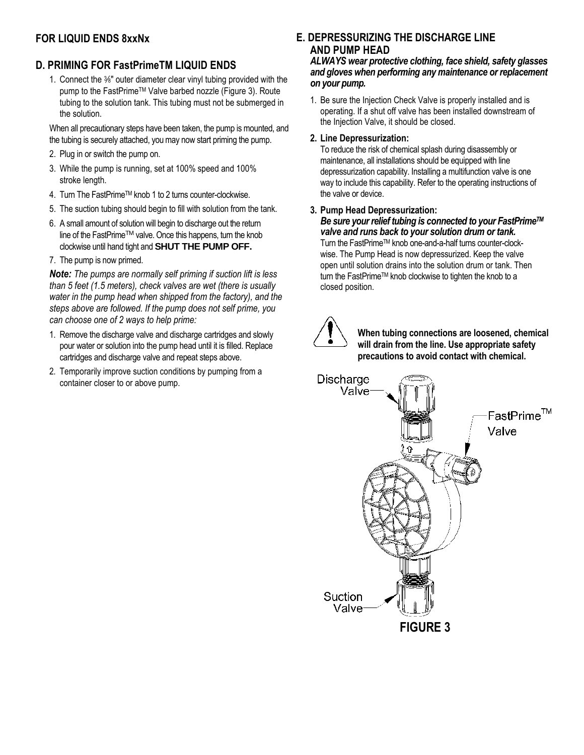## **FOR LIQUID ENDS 8xxNx**

## **D. PRIMING FOR FastPrimeTM LIQUID ENDS**

1. Connect the <sup>3</sup> ∕8" outer diameter clear vinyl tubing provided with the pump to the FastPrime™ Valve barbed nozzle (Figure 3). Route tubing to the solution tank. This tubing must not be submerged in the solution.

When all precautionary steps have been taken, the pump is mounted, and the tubing is securely attached, you may now start priming the pump.

- 2. Plug in or switch the pump on.
- 3. While the pump is running, set at 100% speed and 100% stroke length.
- 4. Turn The FastPrimeTM knob 1 to 2 turns counter-clockwise.
- 5. The suction tubing should begin to fill with solution from the tank.
- 6. A small amount of solution will begin to discharge out the return line of the FastPrimeTM valve. Once this happens, turn the knob clockwise until hand tight and **SHUT THE PUMP OFF.**
- 7. The pump is now primed.

*Note: The pumps are normally self priming if suction lift is less than 5 feet (1.5 meters), check valves are wet (there is usually water in the pump head when shipped from the factory), and the steps above are followed. If the pump does not self prime, you can choose one of 2 ways to help prime:*

- 1. Remove the discharge valve and discharge cartridges and slowly pour water or solution into the pump head until it is filled. Replace cartridges and discharge valve and repeat steps above.
- 2. Temporarily improve suction conditions by pumping from a container closer to or above pump.

## **E. DEPRESSURIZING THE DISCHARGE LINE AND PUMP HEAD**

*ALWAYS wear protective clothing, face shield, safety glasses and gloves when performing any maintenance or replacement on your pump.*

1. Be sure the Injection Check Valve is properly installed and is operating. If a shut off valve has been installed downstream of the Injection Valve, it should be closed.

#### **2. Line Depressurization:**

To reduce the risk of chemical splash during disassembly or maintenance, all installations should be equipped with line depressurization capability. Installing a multifunction valve is one way to include this capability. Refer to the operating instructions of the valve or device.

#### **3. Pump Head Depressurization:**

*Be sure your relief tubing is connected to your FastPrimeTM valve and runs back to your solution drum or tank.* Turn the FastPrimeTM knob one-and-a-half turns counter-clockwise. The Pump Head is now depressurized. Keep the valve open until solution drains into the solution drum or tank. Then turn the FastPrimeTM knob clockwise to tighten the knob to a closed position.



**When tubing connections are loosened, chemical will drain from the line. Use appropriate safety precautions to avoid contact with chemical.**